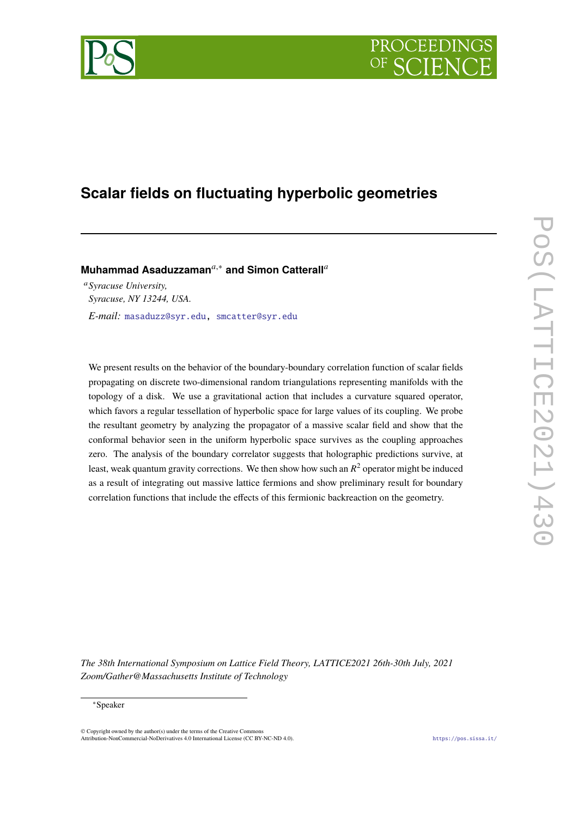# PROCEEDI



# **Scalar fields on fluctuating hyperbolic geometries**

**Muhammad Asaduzzaman**<sup>*a*,∗</sup> and Simon Catterall<sup>*a*</sup>

<sup>𝑎</sup>*Syracuse University, Syracuse, NY 13244, USA. E-mail:* [masaduzz@syr.edu,](mailto:masaduzz@syr.edu) [smcatter@syr.edu](mailto:smcatter@syr.edu)

We present results on the behavior of the boundary-boundary correlation function of scalar fields propagating on discrete two-dimensional random triangulations representing manifolds with the topology of a disk. We use a gravitational action that includes a curvature squared operator, which favors a regular tessellation of hyperbolic space for large values of its coupling. We probe the resultant geometry by analyzing the propagator of a massive scalar field and show that the conformal behavior seen in the uniform hyperbolic space survives as the coupling approaches zero. The analysis of the boundary correlator suggests that holographic predictions survive, at least, weak quantum gravity corrections. We then show how such an  $R^2$  operator might be induced as a result of integrating out massive lattice fermions and show preliminary result for boundary correlation functions that include the effects of this fermionic backreaction on the geometry.

*The 38th International Symposium on Lattice Field Theory, LATTICE2021 26th-30th July, 2021 Zoom/Gather@Massachusetts Institute of Technology*

#### <sup>∗</sup>Speaker

© Copyright owned by the author(s) under the terms of the Creative Commons Attribution-NonCommercial-NoDerivatives 4.0 International License (CC BY-NC-ND 4.0). <https://pos.sissa.it/>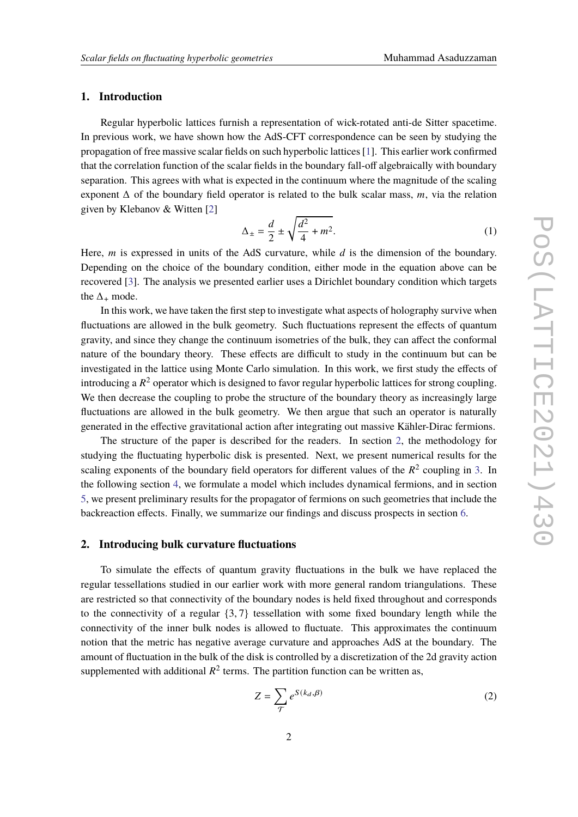# **1. Introduction**

Regular hyperbolic lattices furnish a representation of wick-rotated anti-de Sitter spacetime. In previous work, we have shown how the AdS-CFT correspondence can be seen by studying the propagation of free massive scalar fields on such hyperbolic lattices [\[1\]](#page-8-0). This earlier work confirmed that the correlation function of the scalar fields in the boundary fall-off algebraically with boundary separation. This agrees with what is expected in the continuum where the magnitude of the scaling exponent  $\Delta$  of the boundary field operator is related to the bulk scalar mass, m, via the relation given by Klebanov & Witten [\[2\]](#page-8-1)

<span id="page-1-1"></span>
$$
\Delta_{\pm} = \frac{d}{2} \pm \sqrt{\frac{d^2}{4} + m^2}.
$$
 (1)

Here,  $m$  is expressed in units of the AdS curvature, while  $d$  is the dimension of the boundary. Depending on the choice of the boundary condition, either mode in the equation above can be recovered [\[3\]](#page-8-2). The analysis we presented earlier uses a Dirichlet boundary condition which targets the  $\Delta_+$  mode.

In this work, we have taken the first step to investigate what aspects of holography survive when fluctuations are allowed in the bulk geometry. Such fluctuations represent the effects of quantum gravity, and since they change the continuum isometries of the bulk, they can affect the conformal nature of the boundary theory. These effects are difficult to study in the continuum but can be investigated in the lattice using Monte Carlo simulation. In this work, we first study the effects of introducing a  $R^2$  operator which is designed to favor regular hyperbolic lattices for strong coupling. We then decrease the coupling to probe the structure of the boundary theory as increasingly large fluctuations are allowed in the bulk geometry. We then argue that such an operator is naturally generated in the effective gravitational action after integrating out massive Kähler-Dirac fermions.

The structure of the paper is described for the readers. In section [2,](#page-1-0) the methodology for studying the fluctuating hyperbolic disk is presented. Next, we present numerical results for the scaling exponents of the boundary field operators for different values of the  $R^2$  coupling in [3.](#page-3-0) In the following section [4,](#page-5-0) we formulate a model which includes dynamical fermions, and in section [5,](#page-6-0) we present preliminary results for the propagator of fermions on such geometries that include the backreaction effects. Finally, we summarize our findings and discuss prospects in section [6.](#page-7-0)

#### <span id="page-1-0"></span>**2. Introducing bulk curvature fluctuations**

To simulate the effects of quantum gravity fluctuations in the bulk we have replaced the regular tessellations studied in our earlier work with more general random triangulations. These are restricted so that connectivity of the boundary nodes is held fixed throughout and corresponds to the connectivity of a regular  $\{3, 7\}$  tessellation with some fixed boundary length while the connectivity of the inner bulk nodes is allowed to fluctuate. This approximates the continuum notion that the metric has negative average curvature and approaches AdS at the boundary. The amount of fluctuation in the bulk of the disk is controlled by a discretization of the 2d gravity action supplemented with additional  $R^2$  terms. The partition function can be written as,

$$
Z = \sum_{\mathcal{T}} e^{S(k_d, \beta)} \tag{2}
$$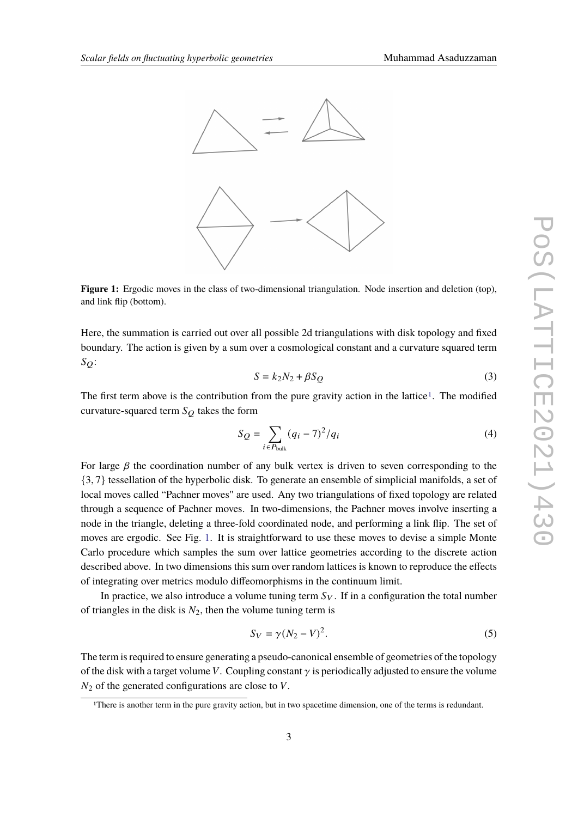<span id="page-2-1"></span>

**Figure 1:** Ergodic moves in the class of two-dimensional triangulation. Node insertion and deletion (top), and link flip (bottom).

Here, the summation is carried out over all possible 2d triangulations with disk topology and fixed boundary. The action is given by a sum over a cosmological constant and a curvature squared term  $S_{\Omega}$ :

$$
S = k_2 N_2 + \beta S_Q \tag{3}
$$

The first term above is the contribution from the pure gravity action in the lattice<sup>[1](#page-2-0)</sup>. The modified curvature-squared term  $S_O$  takes the form

<span id="page-2-2"></span>
$$
S_Q = \sum_{i \in P_{\text{bulk}}} (q_i - 7)^2 / q_i
$$
 (4)

For large  $\beta$  the coordination number of any bulk vertex is driven to seven corresponding to the {3, 7} tessellation of the hyperbolic disk. To generate an ensemble of simplicial manifolds, a set of local moves called "Pachner moves" are used. Any two triangulations of fixed topology are related through a sequence of Pachner moves. In two-dimensions, the Pachner moves involve inserting a node in the triangle, deleting a three-fold coordinated node, and performing a link flip. The set of moves are ergodic. See Fig. [1.](#page-2-1) It is straightforward to use these moves to devise a simple Monte Carlo procedure which samples the sum over lattice geometries according to the discrete action described above. In two dimensions this sum over random lattices is known to reproduce the effects of integrating over metrics modulo diffeomorphisms in the continuum limit.

In practice, we also introduce a volume tuning term  $S_V$ . If in a configuration the total number of triangles in the disk is  $N_2$ , then the volume tuning term is

$$
S_V = \gamma (N_2 - V)^2. \tag{5}
$$

The term is required to ensure generating a pseudo-canonical ensemble of geometries of the topology of the disk with a target volume V. Coupling constant  $\gamma$  is periodically adjusted to ensure the volume  $N<sub>2</sub>$  of the generated configurations are close to V.

<span id="page-2-0"></span><sup>&</sup>lt;sup>1</sup>There is another term in the pure gravity action, but in two spacetime dimension, one of the terms is redundant.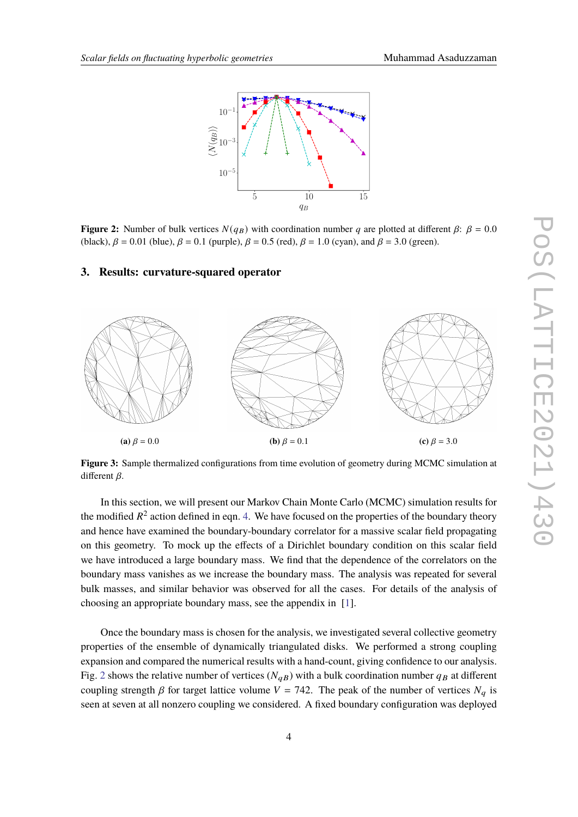<span id="page-3-1"></span>

**Figure 2:** Number of bulk vertices  $N(q_B)$  with coordination number q are plotted at different  $\beta$ :  $\beta = 0.0$ (black),  $\beta = 0.01$  (blue),  $\beta = 0.1$  (purple),  $\beta = 0.5$  (red),  $\beta = 1.0$  (cyan), and  $\beta = 3.0$  (green).

#### <span id="page-3-0"></span>**3. Results: curvature-squared operator**

<span id="page-3-2"></span>

**Figure 3:** Sample thermalized configurations from time evolution of geometry during MCMC simulation at different  $\beta$ .

In this section, we will present our Markov Chain Monte Carlo (MCMC) simulation results for the modified  $R^2$  action defined in eqn. [4.](#page-2-2) We have focused on the properties of the boundary theory and hence have examined the boundary-boundary correlator for a massive scalar field propagating on this geometry. To mock up the effects of a Dirichlet boundary condition on this scalar field we have introduced a large boundary mass. We find that the dependence of the correlators on the boundary mass vanishes as we increase the boundary mass. The analysis was repeated for several bulk masses, and similar behavior was observed for all the cases. For details of the analysis of choosing an appropriate boundary mass, see the appendix in [\[1\]](#page-8-0).

Once the boundary mass is chosen for the analysis, we investigated several collective geometry properties of the ensemble of dynamically triangulated disks. We performed a strong coupling expansion and compared the numerical results with a hand-count, giving confidence to our analysis. Fig. [2](#page-3-1) shows the relative number of vertices ( $N_{qB}$ ) with a bulk coordination number  $q_B$  at different coupling strength  $\beta$  for target lattice volume  $V = 742$ . The peak of the number of vertices  $N_a$  is seen at seven at all nonzero coupling we considered. A fixed boundary configuration was deployed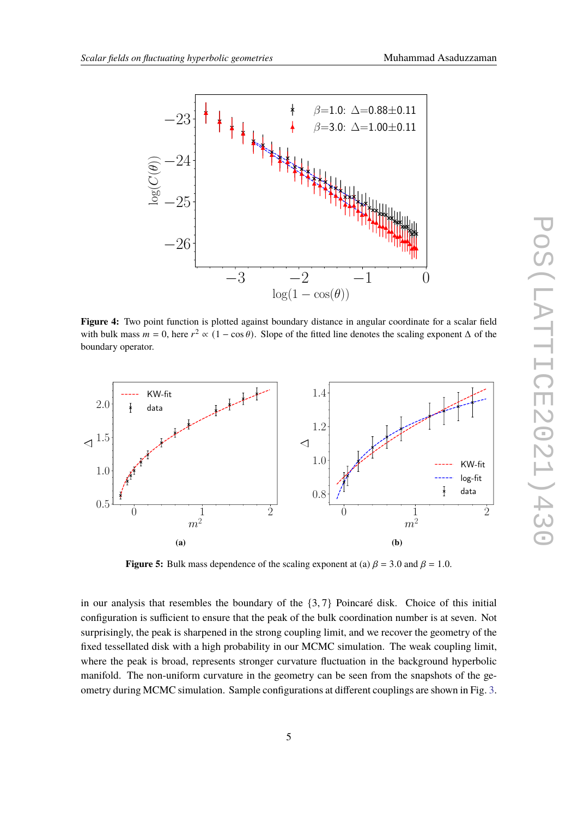<span id="page-4-0"></span>

**Figure 4:** Two point function is plotted against boundary distance in angular coordinate for a scalar field with bulk mass  $m = 0$ , here  $r^2 \propto (1 - \cos \theta)$ . Slope of the fitted line denotes the scaling exponent  $\Delta$  of the boundary operator.

<span id="page-4-1"></span>

<span id="page-4-2"></span>**Figure 5:** Bulk mass dependence of the scaling exponent at (a)  $\beta = 3.0$  and  $\beta = 1.0$ .

in our analysis that resembles the boundary of the  $\{3, 7\}$  Poincaré disk. Choice of this initial configuration is sufficient to ensure that the peak of the bulk coordination number is at seven. Not surprisingly, the peak is sharpened in the strong coupling limit, and we recover the geometry of the fixed tessellated disk with a high probability in our MCMC simulation. The weak coupling limit, where the peak is broad, represents stronger curvature fluctuation in the background hyperbolic manifold. The non-uniform curvature in the geometry can be seen from the snapshots of the geometry during MCMC simulation. Sample configurations at different couplings are shown in Fig. [3.](#page-3-2)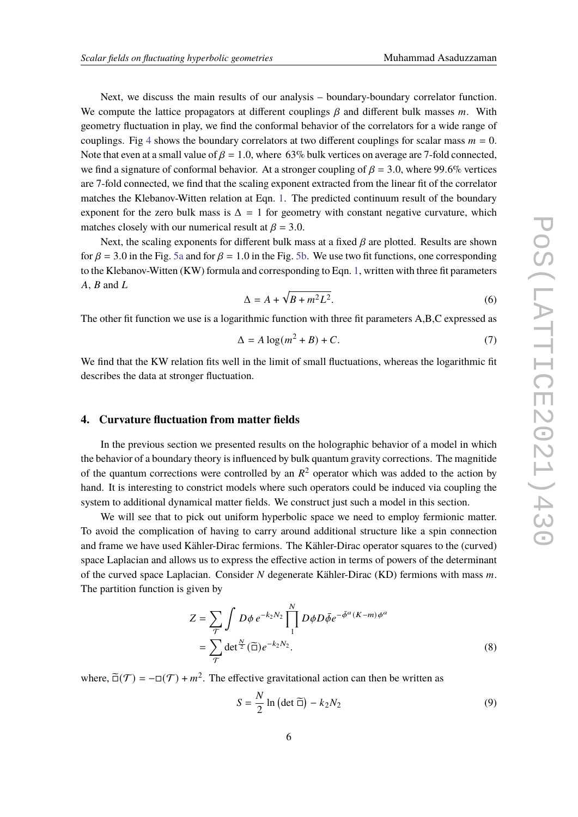Next, we discuss the main results of our analysis – boundary-boundary correlator function. We compute the lattice propagators at different couplings  $\beta$  and different bulk masses  $m$ . With geometry fluctuation in play, we find the conformal behavior of the correlators for a wide range of couplings. Fig [4](#page-4-0) shows the boundary correlators at two different couplings for scalar mass  $m = 0$ . Note that even at a small value of  $\beta = 1.0$ , where 63% bulk vertices on average are 7-fold connected, we find a signature of conformal behavior. At a stronger coupling of  $\beta = 3.0$ , where 99.6% vertices are 7-fold connected, we find that the scaling exponent extracted from the linear fit of the correlator matches the Klebanov-Witten relation at Eqn. [1.](#page-1-1) The predicted continuum result of the boundary exponent for the zero bulk mass is  $\Delta = 1$  for geometry with constant negative curvature, which matches closely with our numerical result at  $\beta = 3.0$ .

Next, the scaling exponents for different bulk mass at a fixed  $\beta$  are plotted. Results are shown for  $\beta = 3.0$  in the Fig. [5a](#page-4-1) and for  $\beta = 1.0$  in the Fig. [5b.](#page-4-2) We use two fit functions, one corresponding to the Klebanov-Witten (KW) formula and corresponding to Eqn. [1,](#page-1-1) written with three fit parameters  $A, B$  and  $L$ 

$$
\Delta = A + \sqrt{B + m^2 L^2}.\tag{6}
$$

The other fit function we use is a logarithmic function with three fit parameters A,B,C expressed as

$$
\Delta = A \log(m^2 + B) + C. \tag{7}
$$

We find that the KW relation fits well in the limit of small fluctuations, whereas the logarithmic fit describes the data at stronger fluctuation.

# <span id="page-5-0"></span>**4. Curvature fluctuation from matter fields**

In the previous section we presented results on the holographic behavior of a model in which the behavior of a boundary theory is influenced by bulk quantum gravity corrections. The magnitide of the quantum corrections were controlled by an  $R^2$  operator which was added to the action by hand. It is interesting to constrict models where such operators could be induced via coupling the system to additional dynamical matter fields. We construct just such a model in this section.

We will see that to pick out uniform hyperbolic space we need to employ fermionic matter. To avoid the complication of having to carry around additional structure like a spin connection and frame we have used Kähler-Dirac fermions. The Kähler-Dirac operator squares to the (curved) space Laplacian and allows us to express the effective action in terms of powers of the determinant of the curved space Laplacian. Consider  $N$  degenerate Kähler-Dirac (KD) fermions with mass  $m$ . The partition function is given by

$$
Z = \sum_{\mathcal{T}} \int D\phi \, e^{-k_2 N_2} \prod_{1}^{N} D\phi D\bar{\phi} e^{-\bar{\phi}^a (K - m)\phi^a}
$$

$$
= \sum_{\mathcal{T}} \det^{\frac{N}{2}} (\widetilde{\Box}) e^{-k_2 N_2}.
$$
 (8)

where,  $\tilde{\Box}(\mathcal{T}) = -\Box(\mathcal{T}) + m^2$ . The effective gravitational action can then be written as

<span id="page-5-1"></span>
$$
S = \frac{N}{2} \ln \left( \det \widetilde{\Box} \right) - k_2 N_2 \tag{9}
$$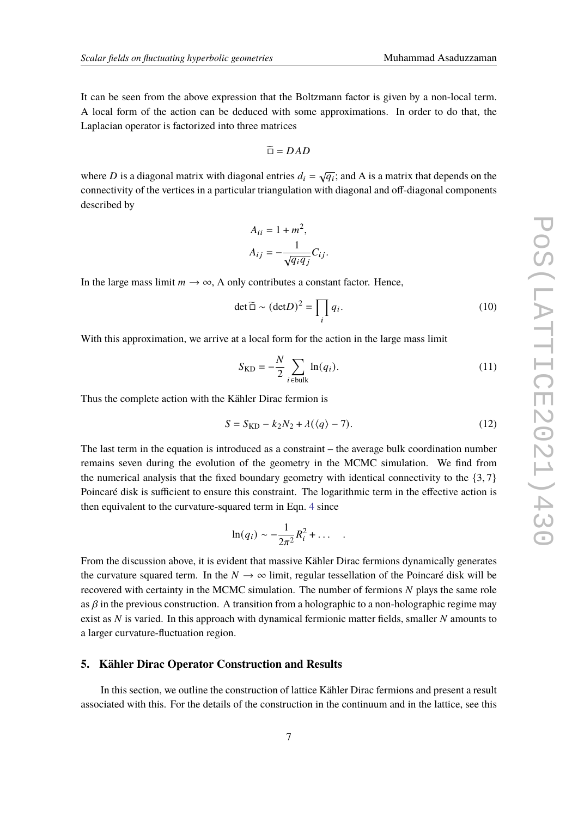It can be seen from the above expression that the Boltzmann factor is given by a non-local term. A local form of the action can be deduced with some approximations. In order to do that, the Laplacian operator is factorized into three matrices

$$
\widetilde{\Box} = DAD
$$

where D is a diagonal matrix with diagonal entries  $d_i = \sqrt{q_i}$ ; and A is a matrix that depends on the connectivity of the vertices in a particular triangulation with diagonal and off-diagonal components described by

$$
A_{ii} = 1 + m^2,
$$
  
\n
$$
A_{ij} = -\frac{1}{\sqrt{q_i q_j}} C_{ij}.
$$

In the large mass limit  $m \to \infty$ , A only contributes a constant factor. Hence,

<span id="page-6-1"></span>
$$
\det \widetilde{\Box} \sim (\det D)^2 = \prod_i q_i. \tag{10}
$$

With this approximation, we arrive at a local form for the action in the large mass limit

$$
S_{\text{KD}} = -\frac{N}{2} \sum_{i \in \text{bulk}} \ln(q_i). \tag{11}
$$

Thus the complete action with the Kähler Dirac fermion is

$$
S = S_{\text{KD}} - k_2 N_2 + \lambda (\langle q \rangle - 7). \tag{12}
$$

The last term in the equation is introduced as a constraint – the average bulk coordination number remains seven during the evolution of the geometry in the MCMC simulation. We find from the numerical analysis that the fixed boundary geometry with identical connectivity to the  $\{3, 7\}$ Poincaré disk is sufficient to ensure this constraint. The logarithmic term in the effective action is then equivalent to the curvature-squared term in Eqn. [4](#page-2-2) since

$$
\ln(q_i) \sim -\frac{1}{2\pi^2} R_i^2 + \dots
$$

From the discussion above, it is evident that massive Kähler Dirac fermions dynamically generates the curvature squared term. In the  $N \to \infty$  limit, regular tessellation of the Poincaré disk will be recovered with certainty in the MCMC simulation. The number of fermions  $N$  plays the same role as  $\beta$  in the previous construction. A transition from a holographic to a non-holographic regime may exist as  $N$  is varied. In this approach with dynamical fermionic matter fields, smaller  $N$  amounts to a larger curvature-fluctuation region.

# <span id="page-6-0"></span>**5. Kähler Dirac Operator Construction and Results**

In this section, we outline the construction of lattice Kähler Dirac fermions and present a result associated with this. For the details of the construction in the continuum and in the lattice, see this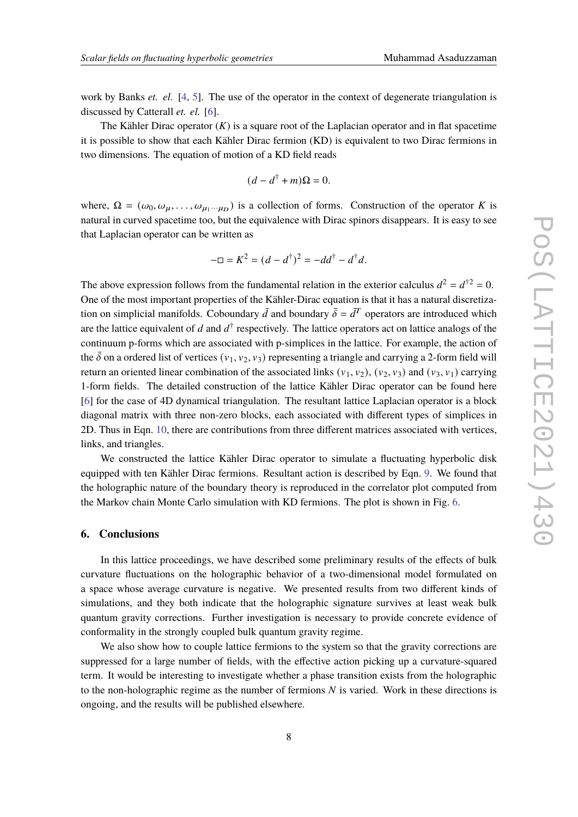work by Banks *et. el.* [\[4,](#page-8-3) [5\]](#page-8-4). The use of the operator in the context of degenerate triangulation is discussed by Catterall *et. el.* [\[6\]](#page-9-0).

The Kähler Dirac operator  $(K)$  is a square root of the Laplacian operator and in flat spacetime it is possible to show that each Kähler Dirac fermion (KD) is equivalent to two Dirac fermions in two dimensions. The equation of motion of a KD field reads

$$
(d - d^{\dagger} + m)\Omega = 0.
$$

where,  $\Omega = (\omega_0, \omega_\mu, \dots, \omega_{\mu_1 \cdots \mu_D})$  is a collection of forms. Construction of the operator K is natural in curved spacetime too, but the equivalence with Dirac spinors disappears. It is easy to see that Laplacian operator can be written as

$$
-\Box = K^2 = (d - d^{\dagger})^2 = -dd^{\dagger} - d^{\dagger}d.
$$

The above expression follows from the fundamental relation in the exterior calculus  $d^2 = d^{\dagger 2} = 0$ . One of the most important properties of the Kähler-Dirac equation is that it has a natural discretization on simplicial manifolds. Coboundary  $\bar{d}$  and boundary  $\bar{\delta} = \bar{d}^T$  operators are introduced which are the lattice equivalent of d and  $d^{\dagger}$  respectively. The lattice operators act on lattice analogs of the continuum p-forms which are associated with p-simplices in the lattice. For example, the action of the  $\bar{\delta}$  on a ordered list of vertices ( $v_1, v_2, v_3$ ) representing a triangle and carrying a 2-form field will return an oriented linear combination of the associated links  $(v_1, v_2)$ ,  $(v_2, v_3)$  and  $(v_3, v_1)$  carrying 1-form fields. The detailed construction of the lattice Kähler Dirac operator can be found here [\[6\]](#page-9-0) for the case of 4D dynamical triangulation. The resultant lattice Laplacian operator is a block diagonal matrix with three non-zero blocks, each associated with different types of simplices in 2D. Thus in Eqn. [10,](#page-6-1) there are contributions from three different matrices associated with vertices, links, and triangles.

We constructed the lattice Kähler Dirac operator to simulate a fluctuating hyperbolic disk equipped with ten Kähler Dirac fermions. Resultant action is described by Eqn. [9.](#page-5-1) We found that the holographic nature of the boundary theory is reproduced in the correlator plot computed from the Markov chain Monte Carlo simulation with KD fermions. The plot is shown in Fig. [6.](#page-8-5)

#### <span id="page-7-0"></span>**6. Conclusions**

In this lattice proceedings, we have described some preliminary results of the effects of bulk curvature fluctuations on the holographic behavior of a two-dimensional model formulated on a space whose average curvature is negative. We presented results from two different kinds of simulations, and they both indicate that the holographic signature survives at least weak bulk quantum gravity corrections. Further investigation is necessary to provide concrete evidence of conformality in the strongly coupled bulk quantum gravity regime.

We also show how to couple lattice fermions to the system so that the gravity corrections are suppressed for a large number of fields, with the effective action picking up a curvature-squared term. It would be interesting to investigate whether a phase transition exists from the holographic to the non-holographic regime as the number of fermions  $N$  is varied. Work in these directions is ongoing, and the results will be published elsewhere.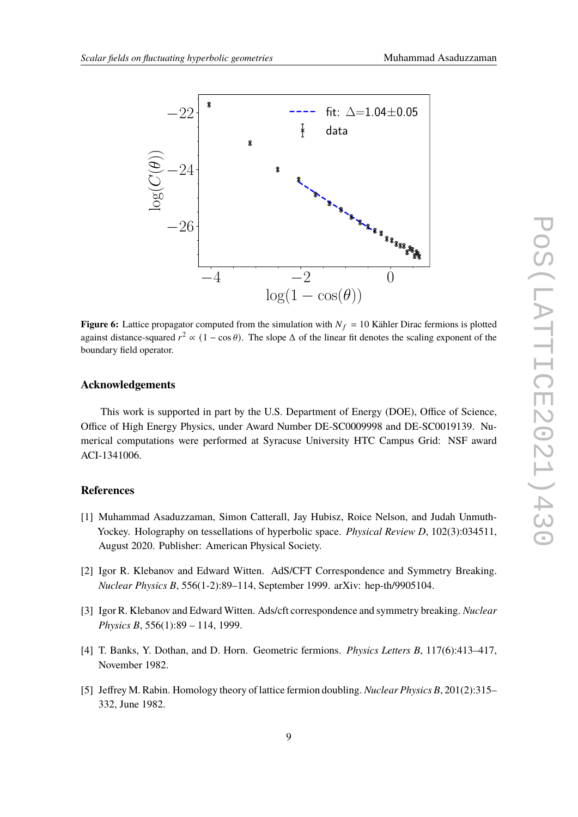<span id="page-8-5"></span>

**Figure 6:** Lattice propagator computed from the simulation with  $N_f = 10$  Kähler Dirac fermions is plotted against distance-squared  $r^2 \propto (1 - \cos \theta)$ . The slope  $\Delta$  of the linear fit denotes the scaling exponent of the boundary field operator.

### **Acknowledgements**

This work is supported in part by the U.S. Department of Energy (DOE), Office of Science, Office of High Energy Physics, under Award Number DE-SC0009998 and DE-SC0019139. Numerical computations were performed at Syracuse University HTC Campus Grid: NSF award ACI-1341006.

# **References**

- <span id="page-8-0"></span>[1] Muhammad Asaduzzaman, Simon Catterall, Jay Hubisz, Roice Nelson, and Judah Unmuth-Yockey. Holography on tessellations of hyperbolic space. *Physical Review D*, 102(3):034511, August 2020. Publisher: American Physical Society.
- <span id="page-8-1"></span>[2] Igor R. Klebanov and Edward Witten. AdS/CFT Correspondence and Symmetry Breaking. *Nuclear Physics B*, 556(1-2):89–114, September 1999. arXiv: hep-th/9905104.
- <span id="page-8-2"></span>[3] Igor R. Klebanov and Edward Witten. Ads/cft correspondence and symmetry breaking. *Nuclear Physics B*, 556(1):89 – 114, 1999.
- <span id="page-8-3"></span>[4] T. Banks, Y. Dothan, and D. Horn. Geometric fermions. *Physics Letters B*, 117(6):413–417, November 1982.
- <span id="page-8-4"></span>[5] Jeffrey M. Rabin. Homology theory of lattice fermion doubling. *Nuclear Physics B*, 201(2):315– 332, June 1982.